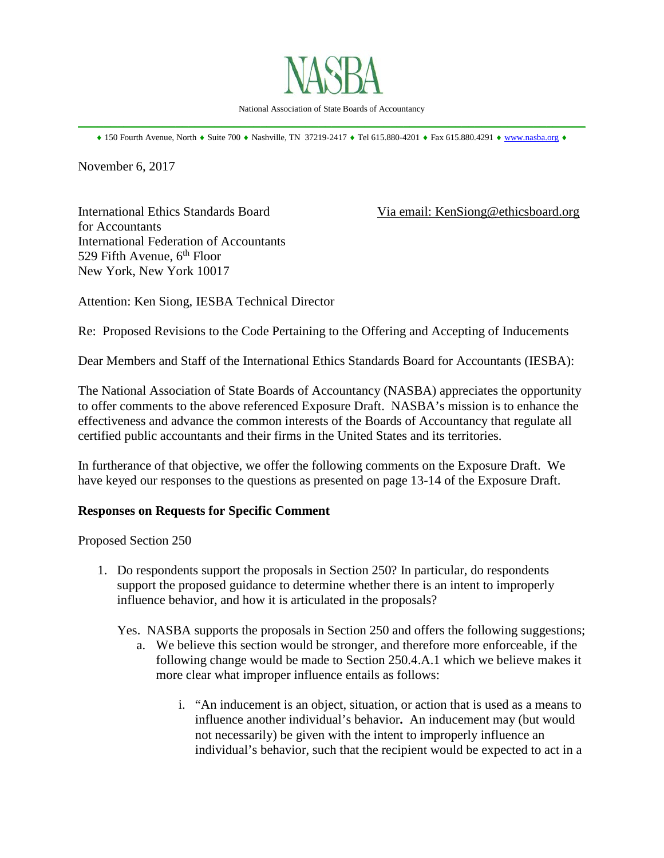

National Association of State Boards of Accountancy \_\_\_\_\_\_\_\_\_\_\_\_\_\_\_\_\_\_\_\_\_\_\_\_\_\_\_\_\_\_\_\_\_\_\_\_\_\_\_\_\_\_\_\_\_\_\_\_\_\_\_\_\_\_\_\_\_\_\_\_\_\_\_\_\_\_\_\_\_\_\_\_\_\_\_\_\_\_

♦ 150 Fourth Avenue, North ♦ Suite 700 ♦ Nashville, TN 37219-2417 ♦ Tel 615.880-4201 ♦ Fax 615.880.4291 ♦ [www.nasba.org](http://www.nasba.org/) ♦

November 6, 2017

for Accountants International Federation of Accountants 529 Fifth Avenue,  $6<sup>th</sup>$  Floor New York, New York 10017

International Ethics Standards Board Via email: KenSiong@ethicsboard.org

Attention: Ken Siong, IESBA Technical Director

Re: Proposed Revisions to the Code Pertaining to the Offering and Accepting of Inducements

Dear Members and Staff of the International Ethics Standards Board for Accountants (IESBA):

The National Association of State Boards of Accountancy (NASBA) appreciates the opportunity to offer comments to the above referenced Exposure Draft. NASBA's mission is to enhance the effectiveness and advance the common interests of the Boards of Accountancy that regulate all certified public accountants and their firms in the United States and its territories.

In furtherance of that objective, we offer the following comments on the Exposure Draft. We have keyed our responses to the questions as presented on page 13-14 of the Exposure Draft.

## **Responses on Requests for Specific Comment**

Proposed Section 250

1. Do respondents support the proposals in Section 250? In particular, do respondents support the proposed guidance to determine whether there is an intent to improperly influence behavior, and how it is articulated in the proposals?

Yes. NASBA supports the proposals in Section 250 and offers the following suggestions;

- a. We believe this section would be stronger, and therefore more enforceable, if the following change would be made to Section 250.4.A.1 which we believe makes it more clear what improper influence entails as follows:
	- i. "An inducement is an object, situation, or action that is used as a means to influence another individual's behavior**.** An inducement may (but would not necessarily) be given with the intent to improperly influence an individual's behavior, such that the recipient would be expected to act in a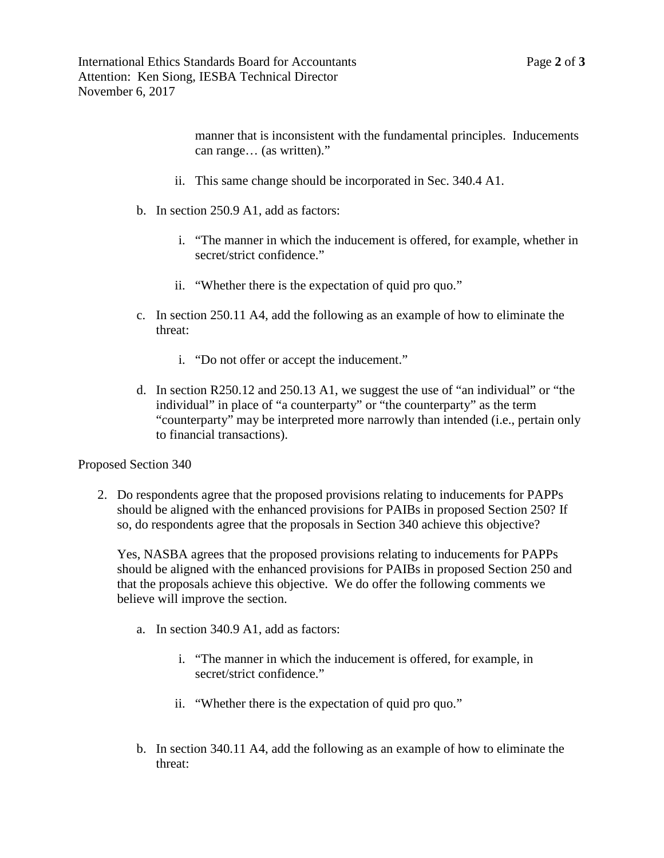manner that is inconsistent with the fundamental principles. Inducements can range… (as written)."

- ii. This same change should be incorporated in Sec. 340.4 A1.
- b. In section 250.9 A1, add as factors:
	- i. "The manner in which the inducement is offered, for example, whether in secret/strict confidence."
	- ii. "Whether there is the expectation of quid pro quo."
- c. In section 250.11 A4, add the following as an example of how to eliminate the threat:
	- i. "Do not offer or accept the inducement."
- d. In section R250.12 and 250.13 A1, we suggest the use of "an individual" or "the individual" in place of "a counterparty" or "the counterparty" as the term "counterparty" may be interpreted more narrowly than intended (i.e., pertain only to financial transactions).

Proposed Section 340

2. Do respondents agree that the proposed provisions relating to inducements for PAPPs should be aligned with the enhanced provisions for PAIBs in proposed Section 250? If so, do respondents agree that the proposals in Section 340 achieve this objective?

Yes, NASBA agrees that the proposed provisions relating to inducements for PAPPs should be aligned with the enhanced provisions for PAIBs in proposed Section 250 and that the proposals achieve this objective. We do offer the following comments we believe will improve the section.

- a. In section 340.9 A1, add as factors:
	- i. "The manner in which the inducement is offered, for example, in secret/strict confidence."
	- ii. "Whether there is the expectation of quid pro quo."
- b. In section 340.11 A4, add the following as an example of how to eliminate the threat: